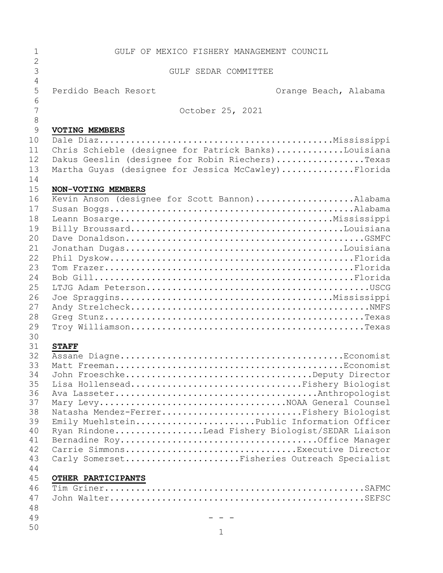| 1                   | GULF OF MEXICO FISHERY MANAGEMENT COUNCIL            |                       |
|---------------------|------------------------------------------------------|-----------------------|
| $\overline{2}$<br>3 | GULF SEDAR COMMITTEE                                 |                       |
| $\overline{4}$      |                                                      |                       |
| 5<br>6              | Perdido Beach Resort                                 | Orange Beach, Alabama |
| 7                   | October 25, 2021                                     |                       |
| $\,8\,$             |                                                      |                       |
| 9                   | <b>VOTING MEMBERS</b>                                |                       |
| 10                  |                                                      |                       |
| 11                  | Chris Schieble (designee for Patrick Banks)Louisiana |                       |
| 12                  | Dakus Geeslin (designee for Robin Riechers)Texas     |                       |
| 13                  | Martha Guyas (designee for Jessica McCawley)Florida  |                       |
| 14                  |                                                      |                       |
| 15                  | NON-VOTING MEMBERS                                   |                       |
| 16                  | Kevin Anson (designee for Scott Bannon)Alabama       |                       |
| 17                  |                                                      |                       |
| 18                  |                                                      |                       |
| 19                  |                                                      |                       |
| 20                  |                                                      |                       |
| 21                  |                                                      |                       |
| 22                  |                                                      |                       |
| 23                  |                                                      |                       |
| 24                  |                                                      |                       |
| 25                  |                                                      |                       |
| 26                  |                                                      |                       |
| 27                  |                                                      |                       |
| 28                  |                                                      |                       |
| 29                  |                                                      |                       |
|                     |                                                      |                       |
| 30                  |                                                      |                       |
| 31<br>32            | <b>STAFF</b>                                         |                       |
| 33                  |                                                      |                       |
| 34                  | John FroeschkeDeputy Director                        |                       |
| 35                  | Lisa HollenseadFishery Biologist                     |                       |
| 36                  |                                                      |                       |
| 37                  |                                                      |                       |
| 38                  | Natasha Mendez-FerrerFishery Biologist               |                       |
| 39                  | Emily MuehlsteinPublic Information Officer           |                       |
| 40                  | Ryan RindoneLead Fishery Biologist/SEDAR Liaison     |                       |
| 41                  |                                                      |                       |
| 42                  | Carrie SimmonsExecutive Director                     |                       |
| 43                  | Carly SomersetFisheries Outreach Specialist          |                       |
| 44                  |                                                      |                       |
| 45                  | OTHER PARTICIPANTS                                   |                       |
| 46                  |                                                      |                       |
| 47                  |                                                      |                       |
| 48                  |                                                      |                       |
| 49                  |                                                      |                       |
| 50                  |                                                      |                       |
|                     | $\mathbf{1}$                                         |                       |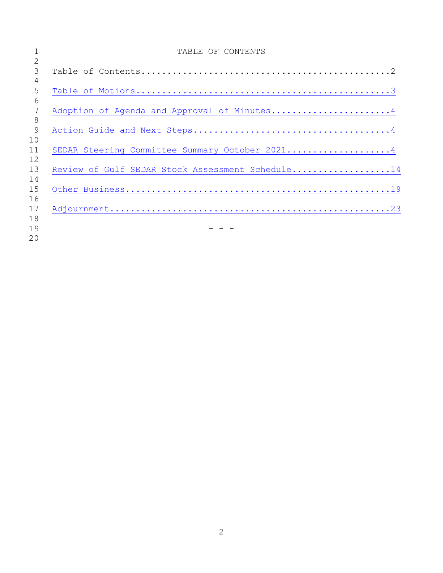|          | TABLE OF CONTENTS                                |
|----------|--------------------------------------------------|
| 2        |                                                  |
| 3        |                                                  |
| 4        |                                                  |
| 5        |                                                  |
| 6        |                                                  |
| 7        | Adoption of Agenda and Approval of Minutes4      |
| 8        |                                                  |
| 9        |                                                  |
| 10       |                                                  |
| 11       | SEDAR Steering Committee Summary October 20214   |
| 12       |                                                  |
| 13       | Review of Gulf SEDAR Stock Assessment Schedule14 |
| 14       |                                                  |
| 15       |                                                  |
| 16<br>17 |                                                  |
| 18       |                                                  |
| 19       |                                                  |
| 20       |                                                  |
|          |                                                  |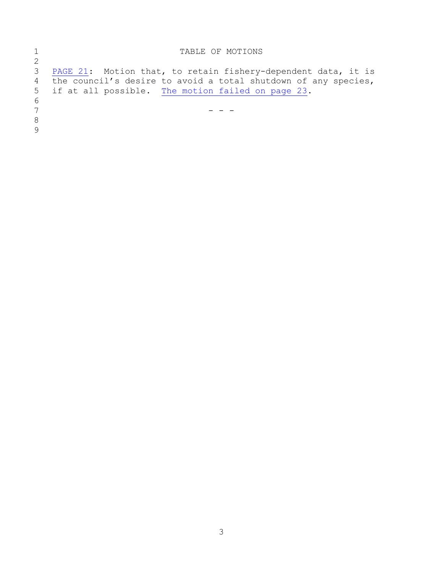<span id="page-2-0"></span>

| 2            | TABLE OF MOTIONS                                                 |
|--------------|------------------------------------------------------------------|
|              |                                                                  |
| 3            | PAGE 21: Motion that, to retain fishery-dependent data, it is    |
|              | 4 the council's desire to avoid a total shutdown of any species, |
|              | 5 if at all possible. The motion failed on page 23.              |
| 6            |                                                                  |
| 7            |                                                                  |
| 8            |                                                                  |
| $\mathsf{Q}$ |                                                                  |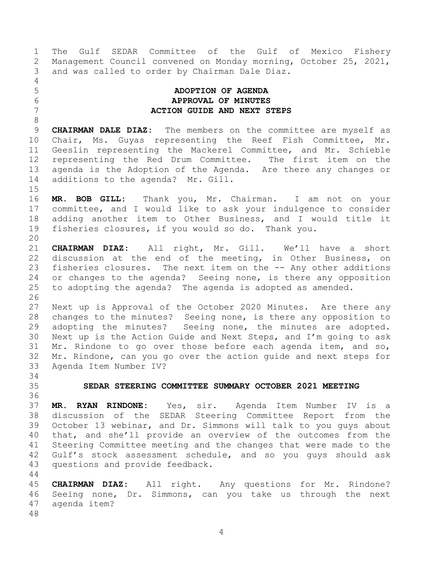1 The Gulf SEDAR Committee of the Gulf of Mexico Fishery<br>2 Management Council convened on Monday morning, October 25, 2021, 2 Management Council convened on Monday morning, October 25, 2021,<br>3 and was called to order by Chairman Dale Diaz. and was called to order by Chairman Dale Diaz.

# $\frac{4}{5}$

<span id="page-3-1"></span>

8

# <span id="page-3-0"></span>5 **ADOPTION OF AGENDA** 6 **APPROVAL OF MINUTES** 7 **ACTION GUIDE AND NEXT STEPS**

9 **CHAIRMAN DALE DIAZ:** The members on the committee are myself as<br>10 Chair, Ms. Guyas representing the Reef Fish Committee, Mr. 10 Chair, Ms. Guyas representing the Reef Fish Committee, Mr.<br>11 Geeslin representing the Mackerel Committee, and Mr. Schieble 11 Geeslin representing the Mackerel Committee, and Mr. Schieble<br>12 representing the Red Drum Committee. The first item on the 12 representing the Red Drum Committee. The first item on the<br>13 agenda is the Adoption of the Agenda. Are there any changes or 13 agenda is the Adoption of the Agenda. Are there any changes or<br>14 additions to the agenda? Mr. Gill. additions to the agenda? Mr. Gill.

 $\frac{15}{16}$ MR. BOB GILL: Thank you, Mr. Chairman. I am not on your 17 committee, and I would like to ask your indulgence to consider<br>18 adding another item to Other Business, and I would title it 18 adding another item to Other Business, and I would title it<br>19 fisheries closures, if you would so do. Thank you. fisheries closures, if you would so do. Thank you.

20<br>21 21 **CHAIRMAN DIAZ:** All right, Mr. Gill. We'll have a short 22 discussion at the end of the meeting, in Other Business, on<br>23 fisheries closures. The next item on the -- Any other additions 23 fisheries closures. The next item on the -- Any other additions<br>24 or changes to the agenda? Seeing none, is there any opposition 24 or changes to the agenda? Seeing none, is there any opposition<br>25 to adopting the agenda? The agenda is adopted as amended. to adopting the agenda? The agenda is adopted as amended.

26<br>27 27 Next up is Approval of the October 2020 Minutes. Are there any<br>28 changes to the minutes? Seeing none, is there any opposition to 28 changes to the minutes? Seeing none, is there any opposition to<br>29 adopting the minutes? Seeing none, the minutes are adopted. 29 adopting the minutes? Seeing none, the minutes are adopted.<br>30 Next up is the Action Guide and Next Steps, and I'm going to ask 30 Next up is the Action Guide and Next Steps, and I'm going to ask<br>31 Mr. Rindone to go over those before each agenda item, and so, Mr. Rindone to go over those before each agenda item, and so, 32 Mr. Rindone, can you go over the action guide and next steps for<br>33 Agenda Item Number IV? Agenda Item Number IV?

<span id="page-3-2"></span>34<br>35

# 35 **SEDAR STEERING COMMITTEE SUMMARY OCTOBER 2021 MEETING**

36<br>37 37 **MR. RYAN RINDONE:** Yes, sir. Agenda Item Number IV is a 38 discussion of the SEDAR Steering Committee Report from the<br>39 October 13 webinar, and Dr. Simmons will talk to you quys about October 13 webinar, and Dr. Simmons will talk to you guys about 40 that, and she'll provide an overview of the outcomes from the 41 Steering Committee meeting and the changes that were made to the<br>42 Gulf's stock assessment schedule, and so you guys should ask 42 Gulf's stock assessment schedule, and so you guys should ask<br>43 questions and provide feedback. questions and provide feedback.

44<br>45

45 **CHAIRMAN DIAZ:** All right. Any questions for Mr. Rindone? 46 Seeing none, Dr. Simmons, can you take us through the next<br>47 agenda item? agenda item?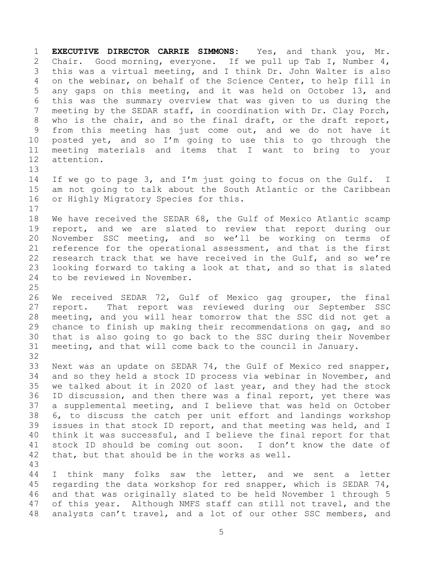1 **EXECUTIVE DIRECTOR CARRIE SIMMONS:** Yes, and thank you, Mr. 2 Chair. Good morning, everyone. If we pull up Tab I, Number 4,<br>3 this was a virtual meeting, and I think Dr. John Walter is also 3 this was a virtual meeting, and I think Dr. John Walter is also<br>4 on the webinar, on behalf of the Science Center, to help fill in 4 on the webinar, on behalf of the Science Center, to help fill in<br>5 any gaps on this meeting, and it was held on October 13, and 5 any gaps on this meeting, and it was held on October 13, and<br>6 this was the summary overview that was given to us during the 6 this was the summary overview that was given to us during the<br>7 meeting by the SEDAR staff, in coordination with Dr. Clay Porch, meeting by the SEDAR staff, in coordination with Dr. Clay Porch, 8 who is the chair, and so the final draft, or the draft report, 9 from this meeting has just come out, and we do not have it<br>10 posted yet, and so I'm going to use this to go through the 10 posted yet, and so I'm going to use this to go through the<br>11 meeting materials and items that I want to bring to your 11 meeting materials and items that I want to bring to your<br>12 attention. attention.

13<br>14 14 If we go to page 3, and I'm just going to focus on the Gulf. I<br>15 am not going to talk about the South Atlantic or the Caribbean 15 am not going to talk about the South Atlantic or the Caribbean<br>16 or Highly Migratory Species for this. or Highly Migratory Species for this.

 $\begin{array}{c} 17 \\ 18 \end{array}$ 18 We have received the SEDAR 68, the Gulf of Mexico Atlantic scamp<br>19 report, and we are slated to review that report during our 19 report, and we are slated to review that report during our<br>20 November SSC meeting, and so we'll be working on terms of 20 November SSC meeting, and so we'll be working on terms of<br>21 reference for the operational assessment, and that is the first 21 reference for the operational assessment, and that is the first<br>22 research track that we have received in the Gulf, and so we're 22 research track that we have received in the Gulf, and so we're<br>23 looking forward to taking a look at that, and so that is slated 23 looking forward to taking a look at that, and so that is slated<br>24 to be reviewed in November. to be reviewed in November.

 $\frac{25}{26}$ 26 We received SEDAR 72, Gulf of Mexico gag grouper, the final<br>27 report. That report was reviewed during our September SSC 27 report. That report was reviewed during our September SSC<br>28 meeting, and you will hear tomorrow that the SSC did not get a 28 meeting, and you will hear tomorrow that the SSC did not get a<br>29 chance to finish up making their recommendations on gag, and so 29 chance to finish up making their recommendations on gag, and so<br>30 that is also going to go back to the SSC during their November 30 that is also going to go back to the SSC during their November<br>31 meeting, and that will come back to the council in January. meeting, and that will come back to the council in January.

32<br>33 33 Next was an update on SEDAR 74, the Gulf of Mexico red snapper,<br>34 and so thev held a stock ID process via webinar in November, and 34 and so they held a stock ID process via webinar in November, and<br>35 we talked about it in 2020 of last year, and they had the stock 35 we talked about it in 2020 of last year, and they had the stock<br>36 ID discussion, and then there was a final report, yet there was 36 ID discussion, and then there was a final report, yet there was<br>37 a supplemental meeting, and I believe that was held on October 37 a supplemental meeting, and I believe that was held on October<br>38 6, to discuss the catch per unit effort and landings workshop 38 6, to discuss the catch per unit effort and landings workshop<br>39 issues in that stock ID report, and that meeting was held, and I issues in that stock ID report, and that meeting was held, and I 40 think it was successful, and I believe the final report for that 41 stock ID should be coming out soon. I don't know the date of<br>42 that, but that should be in the works as well. that, but that should be in the works as well.

43 44 I think many folks saw the letter, and we sent a letter<br>45 regarding the data workshop for red snapper, which is SEDAR 74, 45 regarding the data workshop for red snapper, which is SEDAR 74,<br>46 and that was originally slated to be held November 1 through 5 46 and that was originally slated to be held November 1 through 5<br>47 of this year. Although NMFS staff can still not travel, and the of this year. Although NMFS staff can still not travel, and the 48 analysts can't travel, and a lot of our other SSC members, and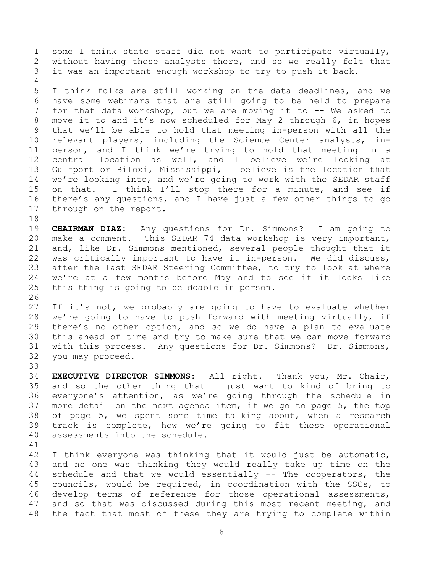1 some I think state staff did not want to participate virtually,<br>2 without having those analysts there, and so we really felt that 2 without having those analysts there, and so we really felt that<br>3 it was an important enough workshop to try to push it back. it was an important enough workshop to try to push it back.

 $\frac{4}{5}$ 5 I think folks are still working on the data deadlines, and we<br>6 have some webinars that are still going to be held to prepare 6 have some webinars that are still going to be held to prepare<br>7 for that data workshop, but we are moving it to -- We asked to for that data workshop, but we are moving it to  $-$ - We asked to 8 move it to and it's now scheduled for May 2 through 6, in hopes 9 that we'll be able to hold that meeting in-person with all the<br>10 relevant players, including the Science Center analysts, in-10 relevant players, including the Science Center analysts, in-<br>11 person, and I think we're trying to hold that meeting in a 11 person, and I think we're trying to hold that meeting in a<br>12 central location as well, and I believe we're looking at 12 central location as well, and I believe we're looking at<br>13 Gulfport or Biloxi, Mississippi, I believe is the location that 13 Gulfport or Biloxi, Mississippi, I believe is the location that<br>14 we're looking into, and we're going to work with the SEDAR staff 14 we're looking into, and we're going to work with the SEDAR staff<br>15 on that. I think I'll stop there for a minute, and see if 15 on that. I think I'll stop there for a minute, and see if<br>16 there's any questions, and I have just a few other things to go 16 there's any questions, and I have just a few other things to go<br>17 through on the report. through on the report.

18<br>19 19 **CHAIRMAN DIAZ:** Any questions for Dr. Simmons? I am going to 20 make a comment. This SEDAR 74 data workshop is very important,<br>21 and, like Dr. Simmons mentioned, several people thought that it 21 and, like Dr. Simmons mentioned, several people thought that it<br>22 was criticallv important to have it in-person. We did discuss, 22 was critically important to have it in-person. We did discuss,<br>23 after the last SEDAR Steering Committee, to try to look at where 23 after the last SEDAR Steering Committee, to try to look at where<br>24 we're at a few months before May and to see if it looks like 24 we're at a few months before May and to see if it looks like<br>25 this thing is going to be doable in person. this thing is going to be doable in person.

26<br>27 27 If it's not, we probably are going to have to evaluate whether<br>28 we're going to have to push forward with meeting virtually, if 28 we're going to have to push forward with meeting virtually, if<br>29 there's no other option, and so we do have a plan to evaluate 29 there's no other option, and so we do have a plan to evaluate<br>30 this ahead of time and try to make sure that we can move forward 30 this ahead of time and try to make sure that we can move forward<br>31 with this process. Any questions for Dr. Simmons? Dr. Simmons, 31 with this process. Any questions for Dr. Simmons? Dr. Simmons,<br>32 you may proceed. you may proceed.

33<br>34 34 **EXECUTIVE DIRECTOR SIMMONS:** All right. Thank you, Mr. Chair, 35 and so the other thing that I just want to kind of bring to<br>36 everyone's attention, as we're going through the schedule in 36 everyone's attention, as we're going through the schedule in<br>37 more detail on the next agenda item, if we go to page 5, the top 37 more detail on the next agenda item, if we go to page 5, the top<br>38 of page 5, we spent some time talking about, when a research 38 of page 5, we spent some time talking about, when a research<br>39 track is complete, how we're going to fit these operational track is complete, how we're going to fit these operational 40 assessments into the schedule.

41<br>42

42 I think everyone was thinking that it would just be automatic,<br>43 and no one was thinking they would really take up time on the 43 and no one was thinking they would really take up time on the<br>44 schedule and that we would essentially -- The cooperators, the 44 schedule and that we would essentially  $-$  The cooperators, the 45 councils, would be required, in coordination with the SSCs, to 45 councils, would be required, in coordination with the SSCs, to<br>46 develop terms of reference for those operational assessments, 46 develop terms of reference for those operational assessments,<br>47 and so that was discussed during this most recent meeting, and and so that was discussed during this most recent meeting, and 48 the fact that most of these they are trying to complete within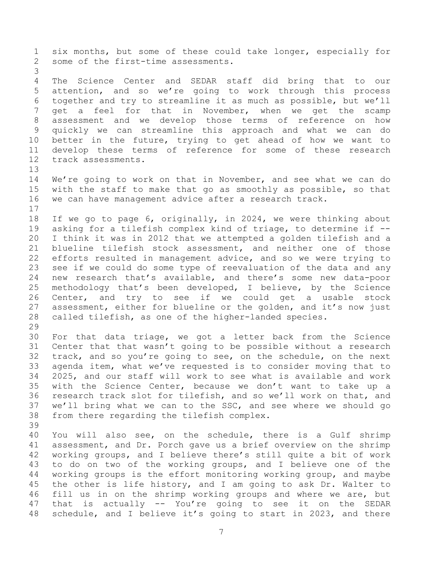1 six months, but some of these could take longer, especially for<br>2 some of the first-time assessments. some of the first-time assessments. 3 4 The Science Center and SEDAR staff did bring that to our<br>5 attention, and so we're going to work through this process 5 attention, and so we're going to work through this process<br>6 together and try to streamline it as much as possible, but we'll 6 together and try to streamline it as much as possible, but we'll<br>7 get a feel for that in November, when we get the scamp get a feel for that in November, when we get the scamp 8 assessment and we develop those terms of reference on how 9 quickly we can streamline this approach and what we can do<br>10 better in the future, trying to get ahead of how we want to 10 better in the future, trying to get ahead of how we want to<br>11 develop these terms of reference for some of these research 11 develop these terms of reference for some of these research<br>12 track assessments. track assessments. 13<br>14 14 We're going to work on that in November, and see what we can do<br>15 with the staff to make that go as smoothly as possible, so that 15 with the staff to make that go as smoothly as possible, so that<br>16 we can have management advice after a research track. we can have management advice after a research track.  $\begin{array}{c} 17 \\ 18 \end{array}$ 18 If we go to page 6, originally, in 2024, we were thinking about<br>19 asking for a tilefish complex kind of triage, to determine if --19 asking for a tilefish complex kind of triage, to determine if  $-$ -<br>20 I think it was in 2012 that we attempted a golden tilefish and a 20 I think it was in 2012 that we attempted a golden tilefish and a<br>21 blueline tilefish stock assessment, and neither one of those 21 blueline tilefish stock assessment, and neither one of those<br>22 efforts resulted in management advice, and so we were trying to 22 efforts resulted in management advice, and so we were trying to<br>23 see if we could do some type of reevaluation of the data and any 23 see if we could do some type of reevaluation of the data and any<br>24 new research that's available, and there's some new data-poor 24 new research that's available, and there's some new data-poor<br>25 methodology that's been developed, I believe, by the Science 25 methodology that's been developed, I believe, by the Science<br>26 Center, and try to see if we could get a usable stock 26 Center, and try to see if we could get a usable stock<br>27 assessment, either for blueline or the golden, and it's now just 27 assessment, either for blueline or the golden, and it's now just<br>28 called tilefish, as one of the higher-landed species. called tilefish, as one of the higher-landed species. 29<br>30 30 For that data triage, we got a letter back from the Science<br>31 Center that that wasn't going to be possible without a research 31 Center that that wasn't going to be possible without a research<br>32 track, and so you're going to see, on the schedule, on the next 32 track, and so you're going to see, on the schedule, on the next<br>33 agenda item, what we've requested is to consider moving that to 33 agenda item, what we've requested is to consider moving that to<br>34 2025, and our staff will work to see what is available and work 34 2025, and our staff will work to see what is available and work<br>35 with the Science Center, because we don't want to take up a 35 with the Science Center, because we don't want to take up a<br>36 research track slot for tilefish, and so we'll work on that, and 36 research track slot for tilefish, and so we'll work on that, and<br>37 we'll bring what we can to the SSC, and see where we should go 37 we'll bring what we can to the SSC, and see where we should go<br>38 from there regarding the tilefish complex. from there regarding the tilefish complex. 39 40 You will also see, on the schedule, there is a Gulf shrimp 41 assessment, and Dr. Porch gave us a brief overview on the shrimp<br>42 working groups, and I believe there's still quite a bit of work 42 working groups, and I believe there's still quite a bit of work<br>43 to do on two of the working groups, and I believe one of the 43 to do on two of the working groups, and I believe one of the<br>44 working groups is the effort monitoring working group, and maybe 44 working groups is the effort monitoring working group, and maybe<br>45 the other is life history, and I am going to ask Dr. Walter to 45 the other is life history, and I am going to ask Dr. Walter to<br>46 fill us in on the shrimp working groups and where we are, but 46 fill us in on the shrimp working groups and where we are, but<br>47 that is actually -- You're going to see it on the SEDAR that is actually -- You're going to see it on the SEDAR 48 schedule, and I believe it's going to start in 2023, and there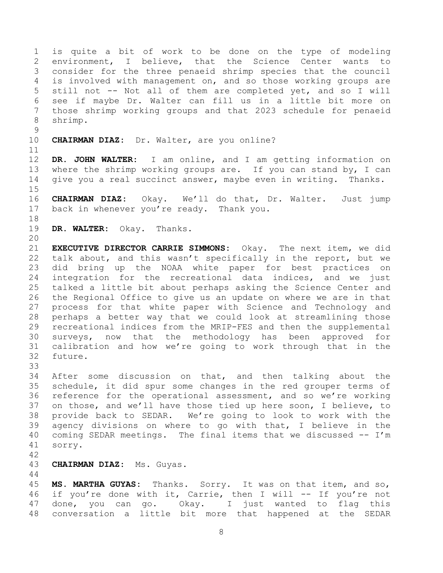1 is quite a bit of work to be done on the type of modeling<br>2 environment, I believe, that the Science Center wants to 2 environment, I believe, that the Science Center wants to<br>3 consider for the three penaeid shrimp species that the council 3 consider for the three penaeid shrimp species that the council<br>4 is involved with management on, and so those working groups are 4 is involved with management on, and so those working groups are<br>5 still not -- Not all of them are completed yet, and so I will 5 still not -- Not all of them are completed yet, and so I will<br>6 see if mavbe Dr. Walter can fill us in a little bit more on 6 see if maybe Dr. Walter can fill us in a little bit more on those shrimp working groups and that 2023 schedule for penaeid 8 shrimp.

- $\begin{array}{c} 9 \\ 10 \end{array}$ CHAIRMAN DIAZ: Dr. Walter, are you online?
- 

11<br>12 12 **DR. JOHN WALTER:** I am online, and I am getting information on 13 where the shrimp working groups are. If you can stand by, I can<br>14 qive you a real succinct answer, maybe even in writing. Thanks. give you a real succinct answer, maybe even in writing. Thanks.

 $15$ <br> $16$ 16 **CHAIRMAN DIAZ:** Okay. We'll do that, Dr. Walter. Just jump 17 back in whenever you're ready. Thank you.

- 18<br>19
	- 19 **DR. WALTER:** Okay. Thanks.

20<br>21 21 **EXECUTIVE DIRECTOR CARRIE SIMMONS:** Okay. The next item, we did 22 talk about, and this wasn't specifically in the report, but we<br>23 did bring up the NOAA white paper for best practices on 23 did bring up the NOAA white paper for best practices on<br>24 integration for the recreational data indices, and we just 24 integration for the recreational data indices, and we just<br>25 talked a little bit about perhaps asking the Science Center and 25 talked a little bit about perhaps asking the Science Center and<br>26 the Regional Office to give us an update on where we are in that 26 the Regional Office to give us an update on where we are in that<br>27 process for that white paper with Science and Technology and 27 process for that white paper with Science and Technology and<br>28 perhaps a better way that we could look at streamlining those 28 perhaps a better way that we could look at streamlining those<br>29 recreational indices from the MRIP-FES and then the supplemental 29 recreational indices from the MRIP-FES and then the supplemental<br>30 surveys, now that the methodology has been approved for 30 surveys, now that the methodology has been approved for<br>31 calibration and how we're going to work through that in the calibration and how we're going to work through that in the 32 future.

33<br>34

34 After some discussion on that, and then talking about the<br>35 schedule, it did spur some changes in the red grouper terms of 35 schedule, it did spur some changes in the red grouper terms of<br>36 reference for the operational assessment, and so we're working 36 reference for the operational assessment, and so we're working<br>37 on those, and we'll have those tied up here soon, I believe, to 37 on those, and we'll have those tied up here soon, I believe, to<br>38 provide back to SEDAR. We're going to look to work with the 38 provide back to SEDAR. We're going to look to work with the<br>39 agency divisions on where to go with that, I believe in the agency divisions on where to go with that, I believe in the 40 coming SEDAR meetings. The final items that we discussed -- I'm 41 sorry.

42

## 43 **CHAIRMAN DIAZ:** Ms. Guyas.

 $\begin{array}{c} 44 \\ 45 \end{array}$ 45 **MS. MARTHA GUYAS:** Thanks. Sorry. It was on that item, and so, 46 if you're done with it, Carrie, then I will -- If you're not<br>47 done, you can go. 0kay. I just wanted to flag this done, you can go. Okay. I just wanted to flag this 48 conversation a little bit more that happened at the SEDAR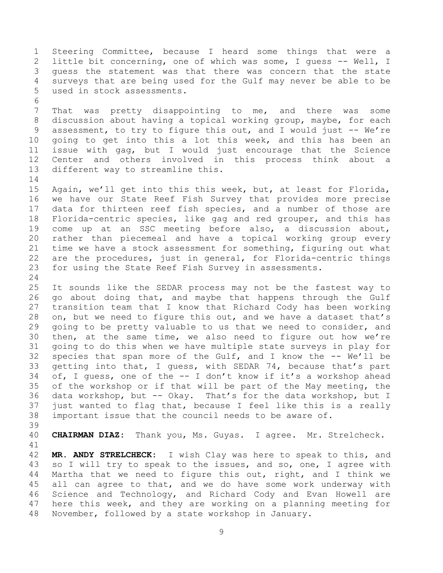1 Steering Committee, because I heard some things that were a<br>2 little bit concerning, one of which was some, I quess -- Well, I 2 little bit concerning, one of which was some, I guess -- Well, I<br>3 quess the statement was that there was concern that the state 3 guess the statement was that there was concern that the state<br>4 surveys that are being used for the Gulf may never be able to be 4 surveys that are being used for the Gulf may never be able to be used in stock assessments.

6<br>7 That was pretty disappointing to me, and there was some 8 discussion about having a topical working group, maybe, for each 9 assessment, to try to figure this out, and I would just -- We're<br>10 qoing to get into this a lot this week, and this has been an 10 going to get into this a lot this week, and this has been an<br>11 issue with gag, but I would just encourage that the Science 11 issue with gag, but I would just encourage that the Science<br>12 Center and others involved in this process think about a 12 Center and others involved in this process think about a<br>13 different way to streamline this. different way to streamline this.

 $\begin{array}{c} 14 \\ 15 \end{array}$ 15 Again, we'll get into this this week, but, at least for Florida,<br>16 we have our State Reef Fish Survey that provides more precise we have our State Reef Fish Survey that provides more precise 17 data for thirteen reef fish species, and a number of those are<br>18 Florida-centric species, like gag and red grouper, and this has 18 Florida-centric species, like gag and red grouper, and this has<br>19 come up at an SSC meeting before also, a discussion about. 19 come up at an SSC meeting before also, a discussion about,<br>20 rather than piecemeal and have a topical working group every 20 rather than piecemeal and have a topical working group every<br>21 time we have a stock assessment for something, figuring out what 21 time we have a stock assessment for something, figuring out what<br>22 are the procedures, just in general, for Florida-centric things 22 are the procedures, just in general, for Florida-centric things<br>23 for using the State Reef Fish Survey in assessments. for using the State Reef Fish Survey in assessments.

 $\frac{24}{25}$ 25 It sounds like the SEDAR process may not be the fastest way to<br>26 qo about doing that, and maybe that happens through the Gulf 26 go about doing that, and maybe that happens through the Gulf<br>27 transition team that I know that Richard Cody has been working 27 transition team that I know that Richard Cody has been working<br>28 on, but we need to fiqure this out, and we have a dataset that's 28 on, but we need to figure this out, and we have a dataset that's<br>29 qoing to be pretty valuable to us that we need to consider, and 29 going to be pretty valuable to us that we need to consider, and<br>30 then, at the same time, we also need to figure out how we're 30 then, at the same time, we also need to figure out how we're<br>31 qoing to do this when we have multiple state surveys in play for going to do this when we have multiple state surveys in play for 32 species that span more of the Gulf, and I know the -- We'll be<br>33 qetting into that, I quess, with SEDAR 74, because that's part 33 getting into that, I guess, with SEDAR 74, because that's part<br>34 of, I quess, one of the -- I don't know if it's a workshop ahead 34 of, I guess, one of the  $-$  I don't know if it's a workshop ahead<br>35 of the workshop or if that will be part of the May meeting, the 35 of the workshop or if that will be part of the May meeting, the<br>36 data workshop, but -- Okay. That's for the data workshop, but I 36 data workshop, but -- Okay. That's for the data workshop, but I<br>37 just wanted to flag that, because I feel like this is a really 37 just wanted to flag that, because I feel like this is a really<br>38 important issue that the council needs to be aware of. important issue that the council needs to be aware of.

39

40 **CHAIRMAN DIAZ:** Thank you, Ms. Guyas. I agree. Mr. Strelcheck.

41<br>42 42 **MR. ANDY STRELCHECK:** I wish Clay was here to speak to this, and<br>43 so I will try to speak to the issues, and so, one, I agree with 43 so I will try to speak to the issues, and so, one, I agree with<br>44 Martha that we need to figure this out, right, and I think we 44 Martha that we need to figure this out, right, and I think we<br>45 all can agree to that, and we do have some work underway with 45 all can agree to that, and we do have some work underway with<br>46 Science and Technology, and Richard Cody and Evan Howell are 46 Science and Technology, and Richard Cody and Evan Howell are<br>47 here this week, and they are working on a planning meeting for here this week, and they are working on a planning meeting for 48 November, followed by a state workshop in January.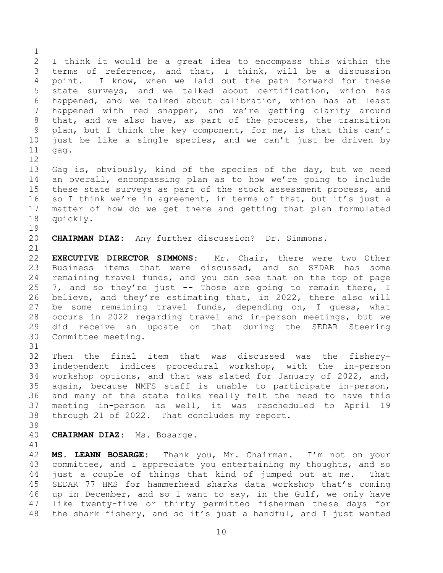$\frac{1}{2}$ 2 I think it would be a great idea to encompass this within the<br>3 terms of reference, and that, I think, will be a discussion 3 terms of reference, and that, I think, will be a discussion<br>4 point. I know, when we laid out the path forward for these 4 point. I know, when we laid out the path forward for these<br>5 state surveys, and we talked about certification, which has 5 state surveys, and we talked about certification, which has<br>6 happened, and we talked about calibration, which has at least 6 happened, and we talked about calibration, which has at least<br>7 happened with red snapper, and we're getting clarity around happened with red snapper, and we're getting clarity around 8 that, and we also have, as part of the process, the transition 9 plan, but I think the key component, for me, is that this can't<br>10 just be like a single species, and we can't just be driven by 10 just be like a single species, and we can't just be driven by  $11 \text{ qaq.}$ gag.

12<br>13 13 Gag is, obviously, kind of the species of the day, but we need<br>14 an overall, encompassing plan as to how we're going to include 14 an overall, encompassing plan as to how we're going to include<br>15 these state surveys as part of the stock assessment process, and 15 these state surveys as part of the stock assessment process, and<br>16 so I think we're in agreement, in terms of that, but it's just a so I think we're in agreement, in terms of that, but it's just a 17 matter of how do we get there and getting that plan formulated<br>18 quickly. quickly.

19<br>20

20 **CHAIRMAN DIAZ:** Any further discussion? Dr. Simmons.

21<br>22 22 **EXECUTIVE DIRECTOR SIMMONS:** Mr. Chair, there were two Other 23 Business items that were discussed, and so SEDAR has some<br>24 remaining travel funds, and you can see that on the top of page 24 remaining travel funds, and you can see that on the top of page<br>25 7, and so they're just -- Those are going to remain there, I 25 7, and so they're just  $-$  Those are going to remain there, I<br>26 believe, and they're estimating that, in 2022, there also will 26 believe, and they're estimating that, in 2022, there also will<br>27 be some remaining travel funds, depending on, I quess, what 27 be some remaining travel funds, depending on, I guess, what<br>28 occurs in 2022 regarding travel and in-person meetings, but we 28 occurs in 2022 regarding travel and in-person meetings, but we<br>29 did receive an update on that during the SEDAR Steering 29 did receive an update on that during the SEDAR Steering<br>30 Committee-meeting. Committee meeting.

31<br>32 32 Then the final item that was discussed was the fishery-<br>33 independent indices procedural workshop, with the in-person 33 independent indices procedural workshop, with the in-person<br>34 workshop options, and that was slated for January of 2022, and, 34 workshop options, and that was slated for January of 2022, and,<br>35 again, because NMFS staff is unable to participate in-person, 35 again, because NMFS staff is unable to participate in-person,<br>36 and many of the state folks really felt the need to have this 36 and many of the state folks really felt the need to have this<br>37 meeting in-person as well, it was rescheduled to April 19 37 meeting in-person as well, it was rescheduled to April 19<br>38 through 21 of 2022. That concludes my report. through 21 of 2022. That concludes my report.

39

40 **CHAIRMAN DIAZ:** Ms. Bosarge.

41<br>42

42 **MS. LEANN BOSARGE:** Thank you, Mr. Chairman. I'm not on your 43 committee, and I appreciate you entertaining my thoughts, and so<br>44 just a couple of things that kind of jumped out at me. That 44 just a couple of things that kind of jumped out at me. That<br>45 SEDAR 77 HMS for hammerhead sharks data workshop that's coming 45 SEDAR 77 HMS for hammerhead sharks data workshop that's coming<br>46 up in December, and so I want to say, in the Gulf, we only have 46 up in December, and so I want to say, in the Gulf, we only have<br>47 like twenty-five or thirty permitted fishermen these days for like twenty-five or thirty permitted fishermen these days for 48 the shark fishery, and so it's just a handful, and I just wanted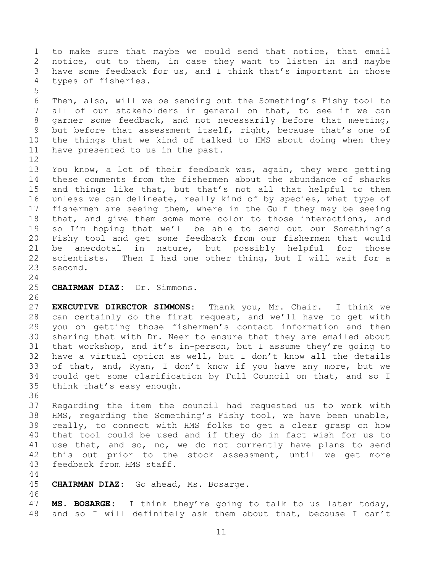1 to make sure that maybe we could send that notice, that email<br>2 notice, out to them, in case they want to listen in and maybe 2 notice, out to them, in case they want to listen in and maybe<br>3 have some feedback for us, and I think that's important in those 3 have some feedback for us, and I think that's important in those<br>4 types of fisheries. types of fisheries.

5 6 Then, also, will we be sending out the Something's Fishy tool to<br>7 all of our stakeholders in general on that, to see if we can all of our stakeholders in general on that, to see if we can 8 garner some feedback, and not necessarily before that meeting, 9 but before that assessment itself, right, because that's one of<br>10 the things that we kind of talked to HMS about doing when they 10 the things that we kind of talked to HMS about doing when they<br>11 have presented to us in the past. have presented to us in the past.

 $\begin{array}{c} 12 \\ 13 \end{array}$ 13 You know, a lot of their feedback was, again, they were getting<br>14 these comments from the fishermen about the abundance of sharks 14 these comments from the fishermen about the abundance of sharks<br>15 and things like that, but that's not all that helpful to them 15 and things like that, but that's not all that helpful to them<br>16 unless we can delineate, really kind of by species, what type of unless we can delineate, really kind of by species, what type of 17 fishermen are seeing them, where in the Gulf they may be seeing<br>18 that, and give them some more color to those interactions, and 18 that, and give them some more color to those interactions, and<br>19 so I'm hoping that we'll be able to send out our Something's 19 so I'm hoping that we'll be able to send out our Something's<br>20 Fishy tool and get some feedback from our fishermen that would 20 Fishy tool and get some feedback from our fishermen that would<br>21 be anecdotal in nature, but possibly helpful for those 21 be anecdotal in nature, but possibly helpful for those<br>22 scientists. Then I had one other thing, but I will wait for a 22 scientists. Then I had one other thing, but I will wait for a<br>23 second. second.

- $\frac{24}{25}$ 
	- 25 **CHAIRMAN DIAZ:** Dr. Simmons.

26<br>27 27 **EXECUTIVE DIRECTOR SIMMONS:** Thank you, Mr. Chair. I think we 28 can certainly do the first request, and we'll have to get with<br>29 you on getting those fishermen's contact information and then 29 you on getting those fishermen's contact information and then<br>30 sharing that with Dr. Neer to ensure that they are emailed about 30 sharing that with Dr. Neer to ensure that they are emailed about<br>31 that workshop, and it's in-person, but I assume they're going to that workshop, and it's in-person, but I assume they're going to 32 have a virtual option as well, but I don't know all the details<br>33 of that, and, Ryan, I don't know if you have any more, but we 33 of that, and, Ryan, I don't know if you have any more, but we<br>34 could get some clarification by Full Council on that, and so I 34 could get some clarification by Full Council on that, and so I<br>35 think that's easy enough. think that's easy enough.

- 36<br>37 37 Regarding the item the council had requested us to work with<br>38 HMS, regarding the Something's Fishy tool, we have been unable, 38 HMS, regarding the Something's Fishy tool, we have been unable,<br>39 really, to connect with HMS folks to get a clear grasp on how really, to connect with HMS folks to get a clear grasp on how 40 that tool could be used and if they do in fact wish for us to 41 use that, and so, no, we do not currently have plans to send<br>42 this out prior to the stock assessment, until we get more 42 this out prior to the stock assessment, until we get more 43 feedback from HMS staff. feedback from HMS staff.
- $\begin{array}{c} 44 \\ 45 \end{array}$
- 45 **CHAIRMAN DIAZ:** Go ahead, Ms. Bosarge.
- 46<br>47 47 **MS. BOSARGE:** I think they're going to talk to us later today, 48 and so I will definitely ask them about that, because I can't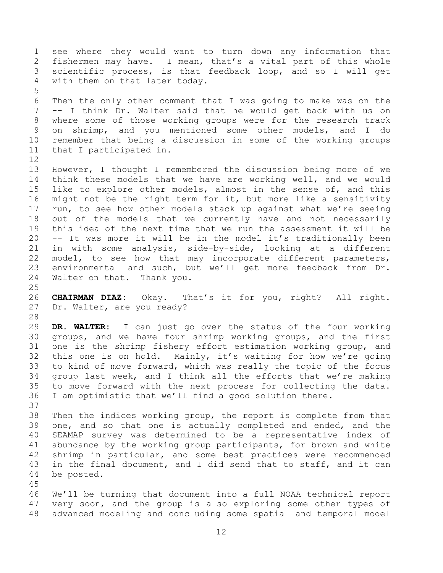1 see where they would want to turn down any information that<br>2 fishermen may have. I mean, that's a vital part of this whole 2 fishermen may have. I mean, that's a vital part of this whole<br>3 scientific process, is that feedback loop, and so I will get 3 scientific process, is that feedback loop, and so I will get<br>4 with them on that later todav. with them on that later today.

5 6 Then the only other comment that I was going to make was on the<br>7 -- I think Dr. Walter said that he would get back with us on -- I think Dr. Walter said that he would get back with us on 8 where some of those working groups were for the research track 9 on shrimp, and you mentioned some other models, and I do<br>10 remember that being a discussion in some of the working groups 10 remember that being a discussion in some of the working groups<br>11 that I participated in. that I participated in.

12<br>13 13 However, I thought I remembered the discussion being more of we<br>14 think these models that we have are working well, and we would 14 think these models that we have are working well, and we would<br>15 like to explore other models, almost in the sense of, and this 15 like to explore other models, almost in the sense of, and this<br>16 might not be the right term for it, but more like a sensitivity might not be the right term for it, but more like a sensitivity 17 run, to see how other models stack up against what we're seeing<br>18 out of the models that we currently have and not necessarily 18 out of the models that we currently have and not necessarily<br>19 this idea of the next time that we run the assessment it will be 19 this idea of the next time that we run the assessment it will be  $20$  -- It was more it will be in the model it's traditionally been 20 -- It was more it will be in the model it's traditionally been<br>21 in with some analysis, side-by-side, looking at a different 21 in with some analysis, side-by-side, looking at a different<br>22 model, to see how that may incorporate different parameters, 22 model, to see how that may incorporate different parameters,<br>23 environmental and such, but we'll get more feedback from Dr. 23 environmental and such, but we'll get more feedback from Dr.<br>24 Walter on that. Thank you. Walter on that. Thank you.

 $\frac{25}{26}$ 26 **CHAIRMAN DIAZ:** Okay. That's it for you, right? All right. Dr. Walter, are you ready?

28<br>29 29 **DR. WALTER:** I can just go over the status of the four working 30 groups, and we have four shrimp working groups, and the first<br>31 one is the shrimp fishery effort estimation working group, and one is the shrimp fishery effort estimation working group, and 32 this one is on hold. Mainly, it's waiting for how we're going<br>33 to kind of move forward, which was really the topic of the focus 33 to kind of move forward, which was really the topic of the focus<br>34 qroup last week, and I think all the efforts that we're making 34 group last week, and I think all the efforts that we're making<br>35 to move forward with the next process for collecting the data. 35 to move forward with the next process for collecting the data.<br>36 I am optimistic that we'll find a good solution there. I am optimistic that we'll find a good solution there.

37<br>38 38 Then the indices working group, the report is complete from that<br>39 one, and so that one is actually completed and ended, and the one, and so that one is actually completed and ended, and the 40 SEAMAP survey was determined to be a representative index of 41 abundance by the working group participants, for brown and white<br>42 shrimp in particular, and some best practices were recommended 42 shrimp in particular, and some best practices were recommended<br>43 in the final document, and I did send that to staff, and it can 43 in the final document, and I did send that to staff, and it can<br>44 be posted. be posted.

45

46 We'll be turning that document into a full NOAA technical report<br>47 very soon, and the group is also exploring some other types of very soon, and the group is also exploring some other types of 48 advanced modeling and concluding some spatial and temporal model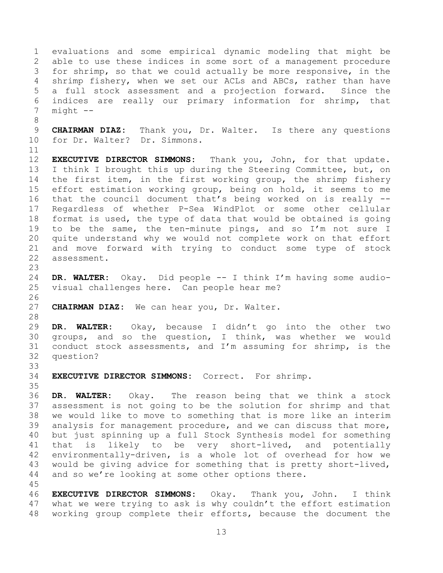1 evaluations and some empirical dynamic modeling that might be<br>2 able to use these indices in some sort of a management procedure 2 able to use these indices in some sort of a management procedure<br>3 for shrimp, so that we could actually be more responsive, in the 3 for shrimp, so that we could actually be more responsive, in the shrimp, so that we could actually be more responsive, in the 4 shrimp fishery, when we set our ACLs and ABCs, rather than have<br>5 a full stock assessment and a projection forward. Since the 5 a full stock assessment and a projection forward.<br>6 indices are really our primary information for s 6 indices are really our primary information for shrimp, that  $mid$   $--$ 

9 **CHAIRMAN DIAZ:** Thank you, Dr. Walter. Is there any questions<br>10 for Dr. Walter? Dr. Simmons. for Dr. Walter? Dr. Simmons.

11<br>12 12 **EXECUTIVE DIRECTOR SIMMONS:** Thank you, John, for that update. 13 I think I brought this up during the Steering Committee, but, on<br>14 the first item, in the first working group, the shrimp fishery 14 the first item, in the first working group, the shrimp fishery<br>15 effort estimation working group, being on hold, it seems to me 15 effort estimation working group, being on hold, it seems to me<br>16 that the council document that's being worked on is really -that the council document that's being worked on is really  $-$ -17 Regardless of whether P-Sea WindPlot or some other cellular<br>18 format is used, the type of data that would be obtained is going 18 format is used, the type of data that would be obtained is going<br>19 to be the same, the ten-minute pings, and so I'm not sure I 19 to be the same, the ten-minute pings, and so I'm not sure I<br>20 quite understand why we would not complete work on that effort 20 quite understand why we would not complete work on that effort<br>21 and move forward with trving to conduct some type of stock 21 and move forward with trying to conduct some type of stock<br>22 assessment. assessment.

23 24 **DR. WALTER:** Okay. Did people -- I think I'm having some audiovisual challenges here. Can people hear me?

26<br>27 CHAIRMAN DIAZ: We can hear you, Dr. Walter.

28<br>29

8

29 **DR. WALTER:** Okay, because I didn't go into the other two 30 groups, and so the question, I think, was whether we would<br>31 conduct stock assessments, and I'm assuming for shrimp, is the conduct stock assessments, and I'm assuming for shrimp, is the 32 question?

33<br>34 34 **EXECUTIVE DIRECTOR SIMMONS:** Correct. For shrimp.

35<br>36 36 **DR. WALTER:** Okay. The reason being that we think a stock 37 assessment is not going to be the solution for shrimp and that<br>38 we would like to move to something that is more like an interim 38 we would like to move to something that is more like an interim<br>39 analysis for management procedure, and we can discuss that more, analysis for management procedure, and we can discuss that more, 40 but just spinning up a full Stock Synthesis model for something 41 that is likely to be very short-lived, and potentially<br>42 environmentallv-driven, is a whole lot of overhead for how we 42 environmentally-driven, is a whole lot of overhead for how we<br>43 would be giving advice for something that is pretty short-lived, 43 would be giving advice for something that is pretty short-lived,<br>44 and so we're looking at some other options there. and so we're looking at some other options there.

45 46 **EXECUTIVE DIRECTOR SIMMONS:** Okay. Thank you, John. I think what we were trying to ask is why couldn't the effort estimation 48 working group complete their efforts, because the document the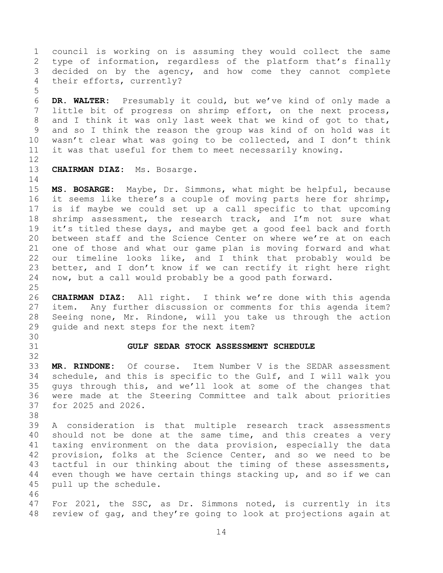1 council is working on is assuming they would collect the same<br>2 type of information, regardless of the platform that's finally 2 type of information, regardless of the platform that's finally<br>3 decided on by the agency, and how come they cannot complete 3 decided on by the agency, and how come they cannot complete<br>4 their efforts, currently? their efforts, currently?

5 6 **DR. WALTER:** Presumably it could, but we've kind of only made a little bit of progress on shrimp effort, on the next process, 8 and I think it was only last week that we kind of got to that, 9 and so I think the reason the group was kind of on hold was it<br>10 wasn't clear what was going to be collected, and I don't think 10 wasn't clear what was going to be collected, and I don't think<br>11 it was that useful for them to meet necessarily knowing. it was that useful for them to meet necessarily knowing.

12<br>13

13 **CHAIRMAN DIAZ:** Ms. Bosarge.

 $\begin{array}{c} 14 \\ 15 \end{array}$ 15 **MS. BOSARGE:** Maybe, Dr. Simmons, what might be helpful, because<br>16 it seems like there's a couple of moving parts here for shrimp, it seems like there's a couple of moving parts here for shrimp, 17 is if maybe we could set up a call specific to that upcoming<br>18 shrimp assessment, the research track, and I'm not sure what 18 shrimp assessment, the research track, and I'm not sure what<br>19 it's titled these days, and maybe get a good feel back and forth 19 it's titled these days, and maybe get a good feel back and forth<br>20 between staff and the Science Center on where we're at on each 20 between staff and the Science Center on where we're at on each<br>21 one of those and what our game plan is moving forward and what 21 one of those and what our game plan is moving forward and what<br>22 our timeline looks like, and I think that probably would be 22 our timeline looks like, and I think that probably would be<br>23 better, and I don't know if we can rectify it right here right 23 better, and I don't know if we can rectify it right here right<br>24 now, but a call would probably be a good path forward. now, but a call would probably be a good path forward.

 $\frac{25}{26}$ 26 **CHAIRMAN DIAZ:** All right. I think we're done with this agenda 27 item. Any further discussion or comments for this agenda item?<br>28 Seeing none, Mr. Rindone, will you take us through the action 28 Seeing none, Mr. Rindone, will you take us through the action<br>29 quide and next steps for the next item? guide and next steps for the next item?

<span id="page-13-0"></span>30<br>31

## 31 **GULF SEDAR STOCK ASSESSMENT SCHEDULE**

32<br>33 33 **MR. RINDONE:** Of course. Item Number V is the SEDAR assessment 34 schedule, and this is specific to the Gulf, and I will walk you<br>35 quys through this, and we'll look at some of the changes that 35 guys through this, and we'll look at some of the changes that<br>36 were made at the Steering Committee and talk about priorities 36 were made at the Steering Committee and talk about priorities 37 for 2025 and 2026.

38<br>39

A consideration is that multiple research track assessments 40 should not be done at the same time, and this creates a very 41 taxing environment on the data provision, especially the data<br>42 provision, folks at the Science Center, and so we need to be 42 provision, folks at the Science Center, and so we need to be<br>43 tactful in our thinking about the timing of these assessments, 43 tactful in our thinking about the timing of these assessments,<br>44 even though we have certain things stacking up, and so if we can 44 even though we have certain things stacking up, and so if we can<br>45 pull up the schedule. pull up the schedule.

46<br>47 47 For 2021, the SSC, as Dr. Simmons noted, is currently in its 48 review of gag, and they're going to look at projections again at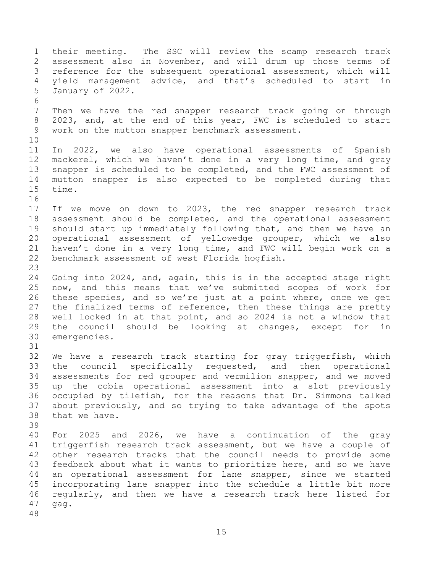1 their meeting. The SSC will review the scamp research track<br>2 assessment also in November, and will drum up those terms of 2 assessment also in November, and will drum up those terms of<br>3 reference for the subsequent operational assessment, which will 3 reference for the subsequent operational assessment, which will<br>4 vield management advice, and that's scheduled to start in 4 yield management advice, and that's scheduled to start in<br>5 January of 2022. 5 January of 2022. 6<br>7 Then we have the red snapper research track going on through 8 2023, and, at the end of this year, FWC is scheduled to start 9 work on the mutton snapper benchmark assessment. 10<br>11 11 In 2022, we also have operational assessments of Spanish<br>12 mackerel, which we haven't done in a very long time, and gray 12 mackerel, which we haven't done in a very long time, and gray<br>13 snapper is scheduled to be completed, and the FWC assessment of 13 snapper is scheduled to be completed, and the FWC assessment of<br>14 mutton snapper is also expected to be completed during that 14 mutton snapper is also expected to be completed during that<br>15 time. time. 16<br>17 17 If we move on down to 2023, the red snapper research track<br>18 assessment should be completed, and the operational assessment 18 assessment should be completed, and the operational assessment<br>19 should start up immediately following that, and then we have an 19 should start up immediately following that, and then we have an<br>20 operational assessment of yellowedge grouper, which we also 20 operational assessment of yellowedge grouper, which we also<br>21 haven't done in a verv long time, and FWC will begin work on a 21 haven't done in a very long time, and FWC will begin work on a<br>22 benchmark assessment of west Florida hogfish. benchmark assessment of west Florida hogfish. 23 24 Going into 2024, and, again, this is in the accepted stage right<br>25 now, and this means that we've submitted scopes of work for 25 now, and this means that we've submitted scopes of work for<br>26 these species, and so we're just at a point where, once we get 26 these species, and so we're just at a point where, once we get<br>27 the finalized terms of reference, then these things are pretty 27 the finalized terms of reference, then these things are pretty<br>28 well locked in at that point, and so 2024 is not a window that 28 well locked in at that point, and so 2024 is not a window that<br>29 the council should be looking at changes, except for in 29 the council should be looking at changes, except for in<br>30 emergencies. emergencies. 31 32 We have a research track starting for gray triggerfish, which<br>33 the council specifically requested, and then operational 33 the council specifically requested, and then operational<br>34 assessments for red grouper and vermilion snapper, and we moved 34 assessments for red grouper and vermilion snapper, and we moved<br>35 up the cobia operational assessment into a slot previously 35 up the cobia operational assessment into a slot previously<br>36 occupied by tilefish, for the reasons that Dr. Simmons talked 36 occupied by tilefish, for the reasons that Dr. Simmons talked<br>37 about previously, and so trying to take advantage of the spots 37 about previously, and so trying to take advantage of the spots<br>38 that we have. that we have. 39 40 For 2025 and 2026, we have a continuation of the gray 41 triggerfish research track assessment, but we have a couple of<br>42 other research tracks that the council needs to provide some 42 other research tracks that the council needs to provide some<br>43 feedback about what it wants to prioritize here, and so we have 43 feedback about what it wants to prioritize here, and so we have<br>44 an operational assessment for lane snapper, since we started 44 an operational assessment for lane snapper, since we started<br>45 incorporating lane snapper into the schedule a little bit more 45 incorporating lane snapper into the schedule a little bit more<br>46 regularly, and then we have a research track here listed for 46 regularly, and then we have a research track here listed for<br>47 gag. gag. 48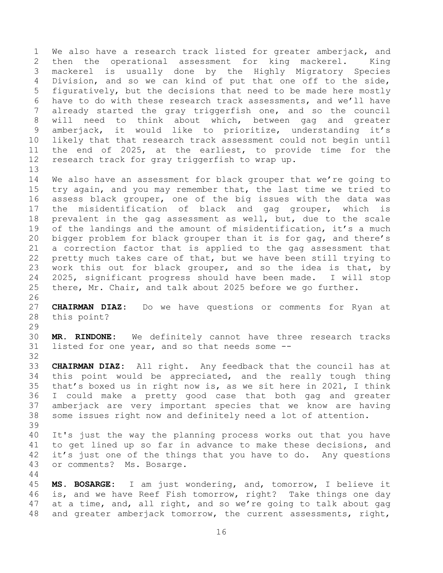1 We also have a research track listed for greater amberjack, and<br>2 then the operational assessment for king mackerel. King 2 then the operational assessment for king mackerel. King<br>3 mackerel is usually done by the Highly Migratory Species 3 mackerel is usually done by the Highly Migratory Species<br>4 Division, and so we can kind of put that one off to the side, 4 Division, and so we can kind of put that one off to the side,<br>5 fiquratively, but the decisions that need to be made here mostly 5 figuratively, but the decisions that need to be made here mostly<br>6 have to do with these research track assessments, and we'll have 6 have to do with these research track assessments, and we'll have<br>7 already started the gray triggerfish one, and so the council already started the gray triggerfish one, and so the council 8 will need to think about which, between gag and greater 9 amberjack, it would like to prioritize, understanding it's<br>10 likely that that research track assessment could not begin until 10 likely that that research track assessment could not begin until<br>11 the end of 2025, at the earliest, to provide time for the 11 the end of 2025, at the earliest, to provide time for the<br>12 research track for gray triggerfish to wrap up. research track for gray triggerfish to wrap up.

13<br>14 14 We also have an assessment for black grouper that we're going to<br>15 try again, and you may remember that, the last time we tried to 15 try again, and you may remember that, the last time we tried to<br>16 assess black grouper, one of the big issues with the data was assess black grouper, one of the big issues with the data was 17 the misidentification of black and gag grouper, which is<br>18 prevalent in the gag assessment as well, but, due to the scale 18 prevalent in the gag assessment as well, but, due to the scale<br>19 of the landings and the amount of misidentification, it's a much 19 of the landings and the amount of misidentification, it's a much<br>20 bigger problem for black grouper than it is for gag, and there's 20 bigger problem for black grouper than it is for gag, and there's<br>21 a correction factor that is applied to the gag assessment that 21 a correction factor that is applied to the gag assessment that<br>22 pretty much takes care of that, but we have been still trying to 22 pretty much takes care of that, but we have been still trying to<br>23 work this out for black grouper, and so the idea is that, by 23 work this out for black grouper, and so the idea is that, by<br>24 2025, significant progress should have been made. I will stop 24 2025, significant progress should have been made. I will stop<br>25 there, Mr. Chair, and talk about 2025 before we go further. there, Mr. Chair, and talk about 2025 before we go further.

 $\frac{26}{27}$ 27 **CHAIRMAN DIAZ:** Do we have questions or comments for Ryan at this point?

 $\frac{29}{30}$ 30 **MR. RINDONE:** We definitely cannot have three research tracks listed for one year, and so that needs some  $-$ -

32<br>33 33 **CHAIRMAN DIAZ:** All right. Any feedback that the council has at 34 this point would be appreciated, and the really tough thing<br>35 that's boxed us in right now is, as we sit here in 2021, I think 35 that's boxed us in right now is, as we sit here in 2021, I think<br>36 I could make a pretty good case that both gag and greater 36 I could make a pretty good case that both gag and greater 37 amberjack are very important species that we know are having<br>38 some issues right now and definitely need a lot of attention. some issues right now and definitely need a lot of attention. 39

40 It's just the way the planning process works out that you have 41 to get lined up so far in advance to make these decisions, and<br>42 it's just one of the things that you have to do. Any questions 42 it's just one of the things that you have to do.<br>43 or comments? Ms. Bosarge. or comments? Ms. Bosarge.

 $\begin{array}{c} 44 \\ 45 \end{array}$ 45 **MS. BOSARGE:** I am just wondering, and, tomorrow, I believe it 46 is, and we have Reef Fish tomorrow, right? Take things one day<br>47 at a time, and, all right, and so we're going to talk about gag at a time, and, all right, and so we're going to talk about gag 48 and greater amberjack tomorrow, the current assessments, right,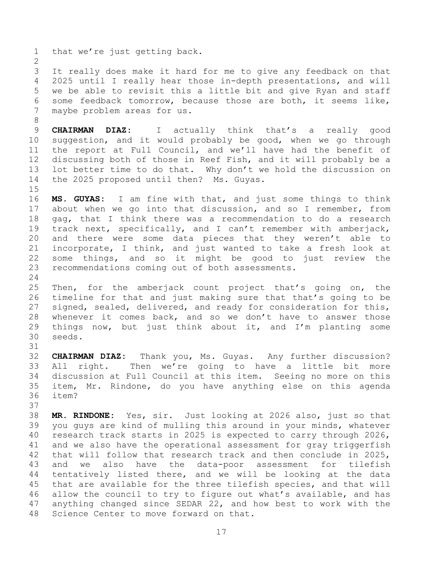1 that we're just getting back.

8

31

 $\frac{2}{3}$ 3 It really does make it hard for me to give any feedback on that<br>4 2025 until I really hear those in-depth presentations, and will 4 2025 until I really hear those in-depth presentations, and will<br>5 we be able to revisit this a little bit and give Ryan and staff 5 we be able to revisit this a little bit and give Ryan and staff<br>6 some feedback tomorrow, because those are both, it seems like, 6 some feedback tomorrow, because those are both, it seems like,<br>7 maybe problem areas for us. maybe problem areas for us.

9 **CHAIRMAN DIAZ:** I actually think that's a really good<br>10 suggestion, and it would probably be good, when we go through 10 suggestion, and it would probably be good, when we go through<br>11 the report at Full Council, and we'll have had the benefit of 11 the report at Full Council, and we'll have had the benefit of<br>12 discussing both of those in Reef Fish, and it will probably be a 12 discussing both of those in Reef Fish, and it will probably be a<br>13 lot better time to do that. Why don't we hold the discussion on 13 lot better time to do that. Why don't we hold the discussion on<br>14 the 2025 proposed until then? Ms. Guvas. the 2025 proposed until then? Ms. Guyas.

 $\frac{15}{16}$ MS. GUYAS: I am fine with that, and just some things to think 17 about when we go into that discussion, and so I remember, from<br>18 qaq, that I think there was a recommendation to do a research 18 gag, that I think there was a recommendation to do a research<br>19 track next, specifically, and I can't remember with amberjack, 19 track next, specifically, and I can't remember with amberjack,<br>20 and there were some data pieces that they weren't able to 20 and there were some data pieces that they weren't able to<br>21 incorporate, I think, and just wanted to take a fresh look at 21 incorporate, I think, and just wanted to take a fresh look at<br>22 some things, and so it might be good to just review the 22 some things, and so it might be good to just review the<br>23 recommendations coming out of both assessments. recommendations coming out of both assessments.

 $\frac{24}{25}$ 25 Then, for the amberjack count project that's going on, the<br>26 timeline for that and just making sure that that's going to be 26 timeline for that and just making sure that that's going to be<br>27 signed, sealed, delivered, and ready for consideration for this, 27 signed, sealed, delivered, and ready for consideration for this,<br>28 whenever it comes back, and so we don't have to answer those 28 whenever it comes back, and so we don't have to answer those<br>29 things now, but just think about it, and I'm planting some 29 things now, but just think about it, and I'm planting some  $30$  seeds. seeds.

32 **CHAIRMAN DIAZ:** Thank you, Ms. Guyas. Any further discussion? 33 All right. Then we're going to have a little bit more<br>34 discussion at Full Council at this item. Seeing no more on this 34 discussion at Full Council at this item. Seeing no more on this<br>35 item, Mr. Rindone, do you have anything else on this agenda 35 item, Mr. Rindone, do you have anything else on this agenda item?

37<br>38 38 **MR. RINDONE:** Yes, sir. Just looking at 2026 also, just so that you guys are kind of mulling this around in your minds, whatever 40 research track starts in 2025 is expected to carry through 2026, 41 and we also have the operational assessment for gray triggerfish<br>42 that will follow that research track and then conclude in 2025, 42 that will follow that research track and then conclude in 2025,<br>43 and we also have the data-poor assessment for tilefish 43 and we also have the data-poor assessment for tilefish<br>44 tentatively listed there, and we will be looking at the data 44 tentatively listed there, and we will be looking at the data<br>45 that are available for the three tilefish species, and that will 45 that are available for the three tilefish species, and that will<br>46 allow the council to try to figure out what's available, and has 46 allow the council to try to figure out what's available, and has<br>47 anything changed since SEDAR 22, and how best to work with the anything changed since SEDAR 22, and how best to work with the 48 Science Center to move forward on that.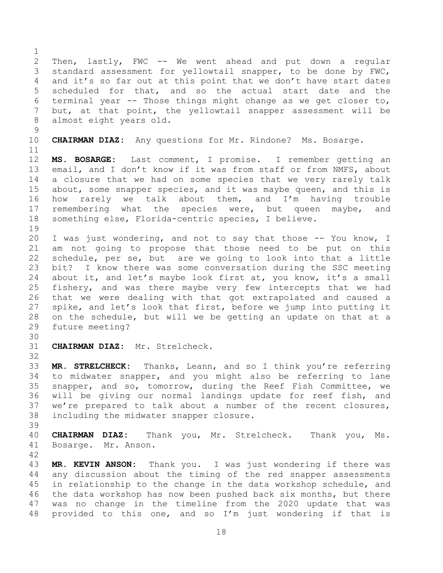$\frac{1}{2}$ 2 Then, lastly, FWC -- We went ahead and put down a regular<br>3 standard assessment for yellowtail snapper, to be done by FWC, 3 standard assessment for yellowtail snapper, to be done by FWC,<br>4 and it's so far out at this point that we don't have start dates 4 and it's so far out at this point that we don't have start dates<br>5 scheduled for that, and so the actual start date and the 5 scheduled for that, and so the actual start date and the<br>6 terminal vear -- Those things might change as we get closer to, 6 terminal year -- Those things might change as we get closer to,<br>7 but, at that point, the vellowtail snapper assessment will be but, at that point, the yellowtail snapper assessment will be 8 almost eight years old.  $\begin{array}{c} 9 \\ 10 \end{array}$ 10 **CHAIRMAN DIAZ:** Any questions for Mr. Rindone? Ms. Bosarge. 11<br>12 12 **MS. BOSARGE:** Last comment, I promise. I remember getting an<br>13 email, and I don't know if it was from staff or from NMFS, about 13 email, and I don't know if it was from staff or from NMFS, about<br>14 a closure that we had on some species that we very rarely talk 14 a closure that we had on some species that we very rarely talk<br>15 about, some snapper species, and it was maybe queen, and this is 15 about, some snapper species, and it was maybe queen, and this is<br>16 how rarely we talk about them, and I'm having trouble how rarely we talk about them, and I'm having trouble 17 remembering what the species were, but queen maybe, and<br>18 something else, Florida-centric species, I believe. something else, Florida-centric species, I believe. 19<br>20 20 I was just wondering, and not to say that those -- You know, I<br>21 am not going to propose that those need to be put on this 21 am not going to propose that those need to be put on this<br>22 schedule, per se, but are we going to look into that a little 22 schedule, per se, but are we going to look into that a little<br>23 bit? I know there was some conversation during the SSC meeting bit? I know there was some conversation during the SSC meeting 24 about it, and let's maybe look first at, you know, it's a small<br>25 fishery, and was there maybe very few intercepts that we had 25 fishery, and was there maybe very few intercepts that we had<br>26 that we were dealing with that got extrapolated and caused a 26 that we were dealing with that got extrapolated and caused a<br>27 spike, and let's look that first, before we jump into putting it 27 spike, and let's look that first, before we jump into putting it<br>28 on the schedule, but will we be getting an update on that at a 28 on the schedule, but will we be getting an update on that at a<br>29 future meeting? future meeting? 30<br>31 31 **CHAIRMAN DIAZ:** Mr. Strelcheck. 32<br>33 33 **MR. STRELCHECK:** Thanks, Leann, and so I think you're referring 34 to midwater snapper, and you might also be referring to lane<br>35 snapper, and so, tomorrow, during the Reef Fish Committee, we 35 snapper, and so, tomorrow, during the Reef Fish Committee, we<br>36 will be giving our normal landings update for reef fish, and 36 will be giving our normal landings update for reef fish, and<br>37 we're prepared to talk about a number of the recent closures, 37 we're prepared to talk about a number of the recent closures,<br>38 including the midwater snapper closure. including the midwater snapper closure. 39 40 **CHAIRMAN DIAZ:** Thank you, Mr. Strelcheck. Thank you, Ms. 41 Bosarge. Mr. Anson. 42

43 **MR. KEVIN ANSON:** Thank you. I was just wondering if there was 44 any discussion about the timing of the red snapper assessments<br>45 in relationship to the change in the data workshop schedule, and 45 in relationship to the change in the data workshop schedule, and<br>46 the data workshop has now been pushed back six months, but there 46 the data workshop has now been pushed back six months, but there<br>47 was no change in the timeline from the 2020 update that was was no change in the timeline from the 2020 update that was 48 provided to this one, and so I'm just wondering if that is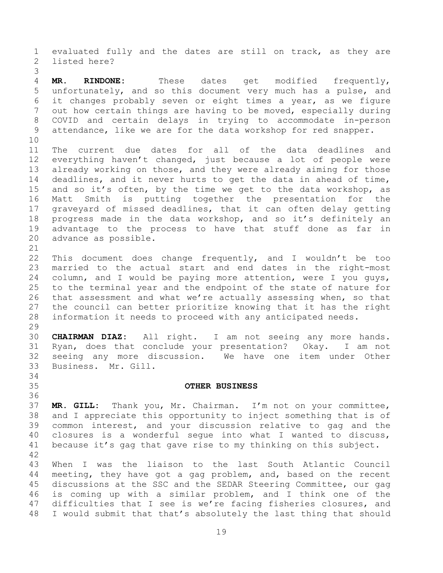1 evaluated fully and the dates are still on track, as they are<br>2 listed here? listed here?

3 4 **MR. RINDONE:** These dates get modified frequently,<br>5 unfortunately, and so this document very much has a pulse, and 5 unfortunately, and so this document very much has a pulse, and<br>6 it changes probably seven or eight times a vear, as we figure 6 it changes probably seven or eight times a year, as we figure<br>7 out how certain things are having to be moved, especially during out how certain things are having to be moved, especially during 8 COVID and certain delays in trying to accommodate in-person 9 attendance, like we are for the data workshop for red snapper.

<span id="page-18-0"></span>34<br>35

10<br>11 11 The current due dates for all of the data deadlines and<br>12 everything haven't changed, just because a lot of people were 12 everything haven't changed, just because a lot of people were<br>13 already working on those, and they were already aiming for those 13 already working on those, and they were already aiming for those<br>14 deadlines, and it never hurts to get the data in ahead of time, 14 deadlines, and it never hurts to get the data in ahead of time,<br>15 and so it's often, by the time we get to the data workshop, as 15 and so it's often, by the time we get to the data workshop, as<br>16 Matt Smith is putting together the presentation for the Matt Smith is putting together the presentation for the 17 graveyard of missed deadlines, that it can often delay getting<br>18 progress made in the data workshop, and so it's definitely an 18 progress made in the data workshop, and so it's definitely an<br>19 advantage to the process to have that stuff done as far in 19 advantage to the process to have that stuff done as far in<br>20 advance as possible. advance as possible.

21<br>22 22 This document does change frequently, and I wouldn't be too<br>23 married to the actual start and end dates in the right-most 23 married to the actual start and end dates in the right-most<br>24 column, and I would be paving more attention, were I you guys, 24 column, and I would be paying more attention, were I you guys,<br>25 to the terminal year and the endpoint of the state of nature for 25 to the terminal year and the endpoint of the state of nature for<br>26 that assessment and what we're actually assessing when, so that 26 that assessment and what we're actually assessing when, so that<br>27 the council can better prioritize knowing that it has the right 27 the council can better prioritize knowing that it has the right<br>28 information it needs to proceed with any anticipated needs. information it needs to proceed with any anticipated needs.

29<br>30 30 **CHAIRMAN DIAZ:** All right. I am not seeing any more hands. Ryan, does that conclude your presentation? Okay. I am not 32 seeing any more discussion. We have one item under Other Business. Mr. Gill.

### 35 **OTHER BUSINESS**

36<br>37 37 **MR. GILL:** Thank you, Mr. Chairman. I'm not on your committee, 38 and I appreciate this opportunity to inject something that is of<br>39 common interest, and your discussion relative to gag and the common interest, and your discussion relative to gag and the 40 closures is a wonderful segue into what I wanted to discuss, 41 because it's gag that gave rise to my thinking on this subject.

42 43 When I was the liaison to the last South Atlantic Council<br>44 meeting, they have got a gag problem, and, based on the recent 44 meeting, they have got a gag problem, and, based on the recent<br>45 discussions at the SSC and the SEDAR Steering Committee, our gag 45 discussions at the SSC and the SEDAR Steering Committee, our gag<br>46 is coming up with a similar problem, and I think one of the 46 is coming up with a similar problem, and I think one of the<br>47 difficulties that I see is we're facing fisheries closures, and difficulties that I see is we're facing fisheries closures, and 48 I would submit that that's absolutely the last thing that should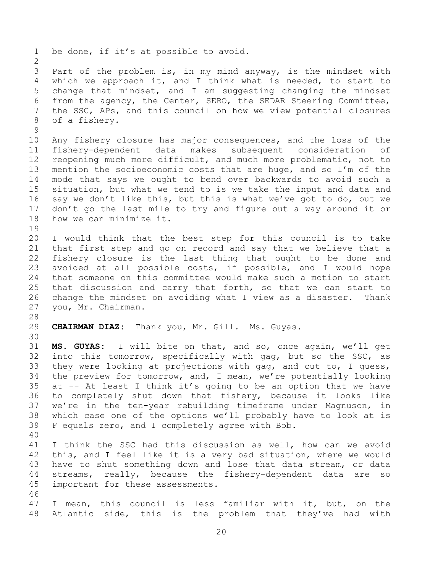1 be done, if it's at possible to avoid.  $\frac{2}{3}$ 3 Part of the problem is, in my mind anyway, is the mindset with<br>4 which we approach it, and I think what is needed, to start to 4 which we approach it, and I think what is needed, to start to<br>5 change that mindset, and I am suggesting changing the mindset 5 change that mindset, and I am suggesting changing the mindset<br>6 from the agency, the Center, SERO, the SEDAR Steering Committee, 6 from the agency, the Center, SERO, the SEDAR Steering Committee,<br>7 the SSC, APs, and this council on how we view potential closures the SSC, APs, and this council on how we view potential closures 8 of a fishery.  $\begin{array}{c} 9 \\ 10 \end{array}$ 10 Any fishery closure has major consequences, and the loss of the<br>11 fishery-dependent data makes subsequent consideration of 11 fishery-dependent data makes subsequent consideration of<br>12 reopening much more difficult, and much more problematic, not to 12 reopening much more difficult, and much more problematic, not to<br>13 mention the socioeconomic costs that are huge, and so I'm of the 13 mention the socioeconomic costs that are huge, and so I'm of the<br>14 mode that savs we ought to bend over backwards to avoid such a 14 mode that says we ought to bend over backwards to avoid such a<br>15 situation, but what we tend to is we take the input and data and 15 situation, but what we tend to is we take the input and data and<br>16 say we don't like this, but this is what we've got to do, but we say we don't like this, but this is what we've got to do, but we 17 don't go the last mile to try and figure out a way around it or<br>18 how we can minimize it. how we can minimize it. 19<br>20 20 I would think that the best step for this council is to take<br>21 that first step and go on record and sav that we believe that a 21 that first step and go on record and say that we believe that a<br>22 fishery closure is the last thing that ought to be done and 22 fishery closure is the last thing that ought to be done and<br>23 avoided at all possible costs, if possible, and I would hope avoided at all possible costs, if possible, and I would hope 24 that someone on this committee would make such a motion to start<br>25 that discussion and carry that forth, so that we can start to 25 that discussion and carry that forth, so that we can start to<br>26 change the mindset on avoiding what I view as a disaster. Thank 26 change the mindset on avoiding what I view as a disaster.<br>27 you, Mr. Chairman. you, Mr. Chairman. 28<br>29 29 **CHAIRMAN DIAZ:** Thank you, Mr. Gill. Ms. Guyas. 30<br>31 31 **MS. GUYAS:** I will bite on that, and so, once again, we'll get 32 into this tomorrow, specifically with gag, but so the SSC, as<br>33 they were looking at projections with gag, and cut to, I quess, 33 they were looking at projections with gag, and cut to, I guess,<br>34 the preview for tomorrow, and, I mean, we're potentially looking 34 the preview for tomorrow, and, I mean, we're potentially looking<br>35 at -- At least I think it's going to be an option that we have 35 at  $-$ - At least I think it's going to be an option that we have<br>36 to completely shut down that fishery, because it looks like 36 to completely shut down that fishery, because it looks like<br>37 we're in the ten-year rebuilding timeframe under Magnuson, in 37 we're in the ten-year rebuilding timeframe under Magnuson,<br>38 which case one of the options we'll probably have to look at 38 which case one of the options we'll probably have to look at is<br>39 F equals zero, and I completely agree with Bob. F equals zero, and I completely agree with Bob. 40 41 I think the SSC had this discussion as well, how can we avoid<br>42 this, and I feel like it is a verv bad situation, where we would 42 this, and I feel like it is a very bad situation, where we would<br>43 have to shut something down and lose that data stream, or data 43 have to shut something down and lose that data stream, or data<br>44 streams, really, because the fishery-dependent data are so 44 streams, really, because the fishery-dependent data are so<br>45 important for these assessments. important for these assessments. 46<br>47 I mean, this council is less familiar with it, but, on the 48 Atlantic side, this is the problem that they've had with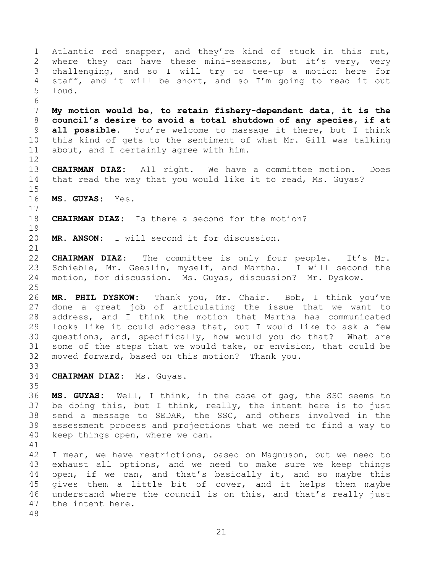<span id="page-20-0"></span>1 Atlantic red snapper, and they're kind of stuck in this rut,<br>2 where they can have these mini-seasons, but it's very, very 2 where they can have these mini-seasons, but it's very, very<br>3 challenging, and so I will try to tee-up a motion here for 3 challenging, and so I will try to tee-up a motion here for<br>4 staff, and it will be short, and so I'm going to read it out 4 staff, and it will be short, and so  $I'm$  going to read it out  $5$  loud. loud. 6<br>7 7 **My motion would be, to retain fishery-dependent data, it is the** 8 **council's desire to avoid a total shutdown of any species, if at** 9 **all possible.** You're welcome to massage it there, but I think 10 this kind of gets to the sentiment of what Mr. Gill was talking<br>11 about, and I certainly agree with him. about, and I certainly agree with him.  $\begin{array}{c} 12 \\ 13 \end{array}$ 13 **CHAIRMAN DIAZ:** All right. We have a committee motion. Does that read the way that you would like it to read, Ms. Guyas?  $\frac{15}{16}$ 16 **MS. GUYAS:** Yes.  $\frac{17}{18}$ **CHAIRMAN DIAZ:** Is there a second for the motion? 19<br>20 MR. ANSON: I will second it for discussion. 21<br>22 22 **CHAIRMAN DIAZ:** The committee is only four people. It's Mr.<br>23 Schieble, Mr. Geeslin, myself, and Martha. I will second the 23 Schieble, Mr. Geeslin, myself, and Martha.<br>24 motion, for discussion. Ms. Guvas, discussion motion, for discussion. Ms. Guyas, discussion? Mr. Dyskow.  $\frac{25}{26}$ 26 **MR. PHIL DYSKOW:** Thank you, Mr. Chair. Bob, I think you've 27 done a great job of articulating the issue that we want to<br>28 address, and I think the motion that Martha has communicated 28 address, and I think the motion that Martha has communicated<br>29 looks like it could address that, but I would like to ask a few 29 looks like it could address that, but I would like to ask a few<br>30 questions, and, specifically, how would you do that? What are 30 questions, and, specifically, how would you do that? What are<br>31 some of the steps that we would take, or envision, that could be some of the steps that we would take, or envision, that could be 32 moved forward, based on this motion? Thank you. 33<br>34 34 **CHAIRMAN DIAZ:** Ms. Guyas. 35<br>36 36 **MS. GUYAS:** Well, I think, in the case of gag, the SSC seems to 37 be doing this, but I think, really, the intent here is to just<br>38 send a message to SEDAR, the SSC, and others involved in the 38 send a message to SEDAR, the SSC, and others involved in the<br>39 assessment process and projections that we need to find a way to assessment process and projections that we need to find a way to 40 keep things open, where we can. 41<br>42 42 I mean, we have restrictions, based on Magnuson, but we need to<br>43 exhaust all options, and we need to make sure we keep things 43 exhaust all options, and we need to make sure we keep things<br>44 open, if we can, and that's basically it, and so maybe this 44 open, if we can, and that's basically it, and so maybe this<br>45 qives them a little bit of cover, and it helps them maybe 45 gives them a little bit of cover, and it helps them maybe<br>46 understand where the council is on this, and that's really just 46 understand where the council is on this, and that's really just<br>47 the intent here. the intent here.

48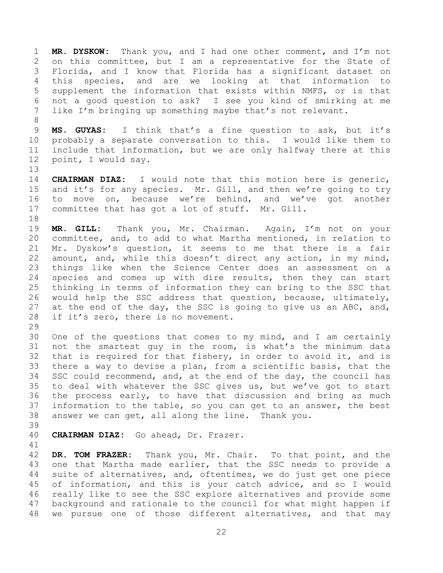1 **MR. DYSKOW:** Thank you, and I had one other comment, and I'm not 2 on this committee, but I am a representative for the State of<br>3 Florida, and I know that Florida has a significant dataset on 3 Florida, and I know that Florida has a significant dataset on<br>4 this species, and are we looking at that information to 4 this species, and are we looking at that information to<br>5 supplement the information that exists within NMFS, or is that 5 supplement the information that exists within NMFS, or is that 6 not a good question to ask? I see you kind of smirking at me<br>7 like I'm bringing up something maybe that's not relevant. like I'm bringing up something maybe that's not relevant.

9 **MS. GUYAS:** I think that's a fine question to ask, but it's<br>10 probably a separate conversation to this. I would like them to 10 probably a separate conversation to this. I would like them to<br>11 include that information, but we are only halfway there at this 11 include that information, but we are only halfway there at this<br>12 point, I would say. point, I would say.

13<br>14

8

14 **CHAIRMAN DIAZ:** I would note that this motion here is generic,<br>15 and it's for any species. Mr. Gill, and then we're going to try 15 and it's for any species. Mr. Gill, and then we're going to try<br>16 to move on, because we're behind, and we've got another to move on, because we're behind, and we've got another 17 committee that has got a lot of stuff. Mr. Gill.

18<br>19 19 **MR. GILL:** Thank you, Mr. Chairman. Again, I'm not on your 20 committee, and, to add to what Martha mentioned, in relation to<br>21 Mr. Dyskow's question, it seems to me that there is a fair 21 Mr. Dyskow's question, it seems to me that there is a fair<br>22 amount, and, while this doesn't direct any action, in my mind, 22 amount, and, while this doesn't direct any action, in my mind,<br>23 things like when the Science Center does an assessment on a 23 things like when the Science Center does an assessment on a<br>24 species and comes up with dire results, then they can start 24 species and comes up with dire results, then they can start<br>25 thinking in terms of information they can bring to the SSC that 25 thinking in terms of information they can bring to the SSC that<br>26 would help the SSC address that question, because, ultimately, 26 would help the SSC address that question, because, ultimately,<br>27 at the end of the day, the SSC is going to give us an ABC, and, 27 at the end of the day, the SSC is going to give us an ABC, and,  $28$  if it's zero, there is no movement. if it's zero, there is no movement.

29<br>30 30 One of the questions that comes to my mind, and I am certainly<br>31 not the smartest quy in the room, is what's the minimum data not the smartest guy in the room, is what's the minimum data 32 that is required for that fishery, in order to avoid it, and is<br>33 there a way to devise a plan, from a scientific basis, that the 33 there a way to devise a plan, from a scientific basis, that the<br>34 SSC could recommend, and, at the end of the dav, the council has 34 SSC could recommend, and, at the end of the day, the council has<br>35 to deal with whatever the SSC gives us, but we've got to start 35 to deal with whatever the SSC gives us, but we've got to start<br>36 the process early, to have that discussion and bring as much 36 the process early, to have that discussion and bring as much<br>37 information to the table, so you can get to an answer, the best 37 information to the table, so you can get to an answer, the best<br>38 answer we can get, all along the line. Thank you. answer we can get, all along the line. Thank you.

39

40 **CHAIRMAN DIAZ:** Go ahead, Dr. Frazer.

41<br>42

42 **DR. TOM FRAZER:** Thank you, Mr. Chair. To that point, and the 43 one that Martha made earlier, that the SSC needs to provide a<br>44 suite of alternatives, and, oftentimes, we do just get one piece 44 suite of alternatives, and, oftentimes, we do just get one piece<br>45 of information, and this is your catch advice, and so I would 45 of information, and this is your catch advice, and so I would<br>46 really like to see the SSC explore alternatives and provide some 46 really like to see the SSC explore alternatives and provide some<br>47 background and rationale to the council for what might happen if background and rationale to the council for what might happen if 48 we pursue one of those different alternatives, and that may